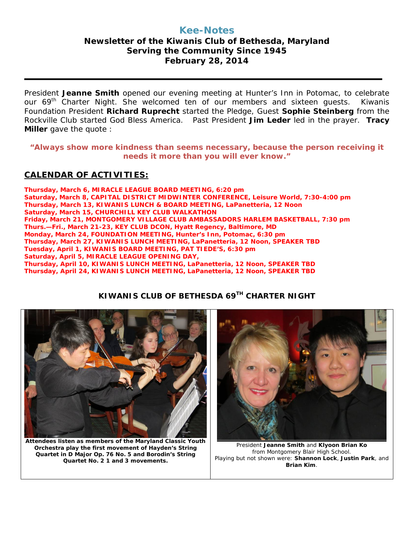## **Kee-Notes**

## **Newsletter of the Kiwanis Club of Bethesda, Maryland Serving the Community Since 1945 February 28, 2014**

President **Jeanne Smith** opened our evening meeting at Hunter's Inn in Potomac, to celebrate our 69<sup>th</sup> Charter Night. She welcomed ten of our members and sixteen quests. Kiwanis Foundation President **Richard Ruprecht** started the Pledge, Guest **Sophie Steinberg** from the Rockville Club started God Bless America. Past President **Jim Leder** led in the prayer. **Tracy Miller** gave the quote :

**"Always show more kindness than seems necessary, because the person receiving it needs it more than you will ever know."**

## **CALENDAR OF ACTIVITIES:**

**Thursday, March 6, MIRACLE LEAGUE BOARD MEETING, 6:20 pm Saturday, March 8, CAPITAL DISTRICT MIDWINTER CONFERENCE, Leisure World, 7:30-4:00 pm Thursday, March 13, KIWANIS LUNCH & BOARD MEETING, LaPanetteria, 12 Noon Saturday, March 15, CHURCHILL KEY CLUB WALKATHON Friday, March 21, MONTGOMERY VILLAGE CLUB AMBASSADORS HARLEM BASKETBALL, 7:30 pm Thurs.—Fri., March 21-23, KEY CLUB DCON, Hyatt Regency, Baltimore, MD Monday, March 24, FOUNDATION MEETING, Hunter's Inn, Potomac, 6:30 pm Thursday, March 27, KIWANIS LUNCH MEETING, LaPanetteria, 12 Noon, SPEAKER TBD Tuesday, April 1, KIWANIS BOARD MEETING, PAT TIEDE'S, 6:30 pm Saturday, April 5, MIRACLE LEAGUE OPENING DAY, Thursday, April 10, KIWANIS LUNCH MEETING, LaPanetteria, 12 Noon, SPEAKER TBD Thursday, April 24, KIWANIS LUNCH MEETING, LaPanetteria, 12 Noon, SPEAKER TBD**



## **KIWANIS CLUB OF BETHESDA 69TH CHARTER NIGHT**

**Attendees listen as members of the Maryland Classic Youth Orchestra play the first movement of Hayden's String Quartet in D Major Op. 76 No. 5 and Borodin's String Quartet No. 2 1 and 3 movements.**



President **Jeanne Smith** and **Klyoon Brian Ko** from Montgomery Blair High School. Playing but not shown were: **Shannon Lock**, **Justin Park**, and **Brian Kim**.